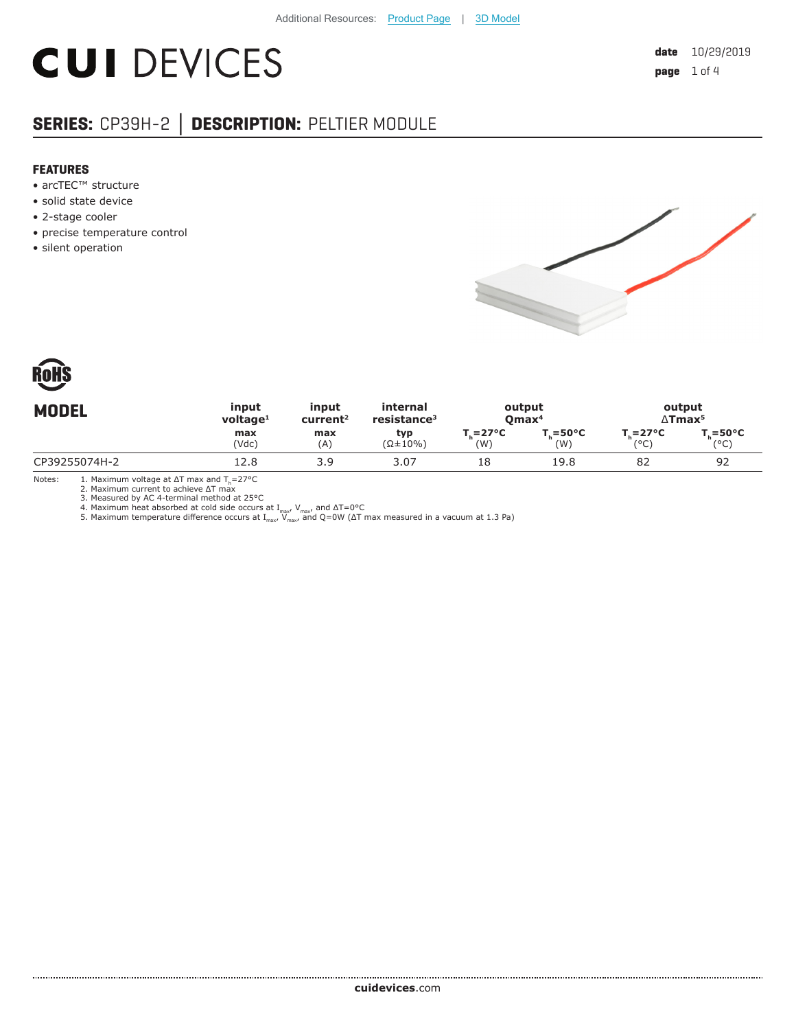# **CUI DEVICES**

## **SERIES:** CP39H-2 **│ DESCRIPTION:** PELTIER MODULE

#### **FEATURES**

- arcTEC™ structure
- solid state device
- 2-stage cooler
- precise temperature control
- silent operation





| <b>MODEL</b>  | input       | input                | internal                | output                    |                    | output                     |                       |
|---------------|-------------|----------------------|-------------------------|---------------------------|--------------------|----------------------------|-----------------------|
|               | voltage $1$ | current <sup>2</sup> | resistance <sup>3</sup> | $O$ max <sup>4</sup>      |                    | $\Delta$ Tmax <sup>5</sup> |                       |
|               | max         | max                  | typ                     | $T_{\rm c} = 27^{\circ}C$ | $T = 50^{\circ}$ C | $T_c = 27^{\circ}C$        | $T_{c} = 50^{\circ}C$ |
|               | (Vdc)       | (A)                  | $(\Omega \pm 10\%)$     | (W)                       | (W)                | (°C)                       | (°C)                  |
| CP39255074H-2 | 12.8        | 3.9                  | 3.07                    | 18                        | 19.8               | 82                         | 92                    |

Notes: 1. Maximum voltage at ΔT max and Th=27°C 2. Maximum current to achieve ΔT max 3. Measured by AC 4-terminal method at 25°C

4. Maximum heat absorbed at cold side occurs at I<sub>max</sub>, V<sub>max</sub>, and ΔT=0°C<br>5. Maximum temperature difference occurs at I<sub>max</sub>, V<sub>max</sub>, and Q=0W (ΔT max measured in a vacuum at 1.3 Pa)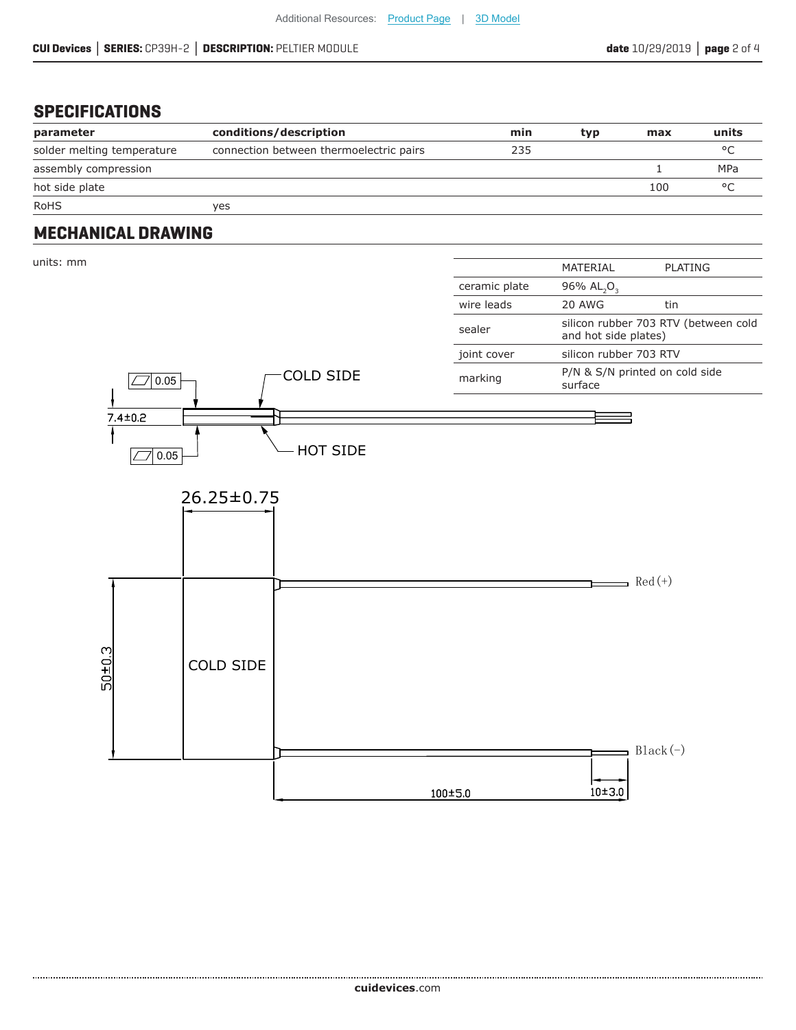## **SPECIFICATIONS**

| parameter                  | conditions/description                  | min | typ | max | units      |
|----------------------------|-----------------------------------------|-----|-----|-----|------------|
| solder melting temperature | connection between thermoelectric pairs | 235 |     |     | $\circ$    |
| assembly compression       |                                         |     |     |     | <b>MPa</b> |
| hot side plate             |                                         |     |     | 100 | $\circ$    |
| <b>RoHS</b>                | yes                                     |     |     |     |            |

### **MECHANICAL DRAWING**

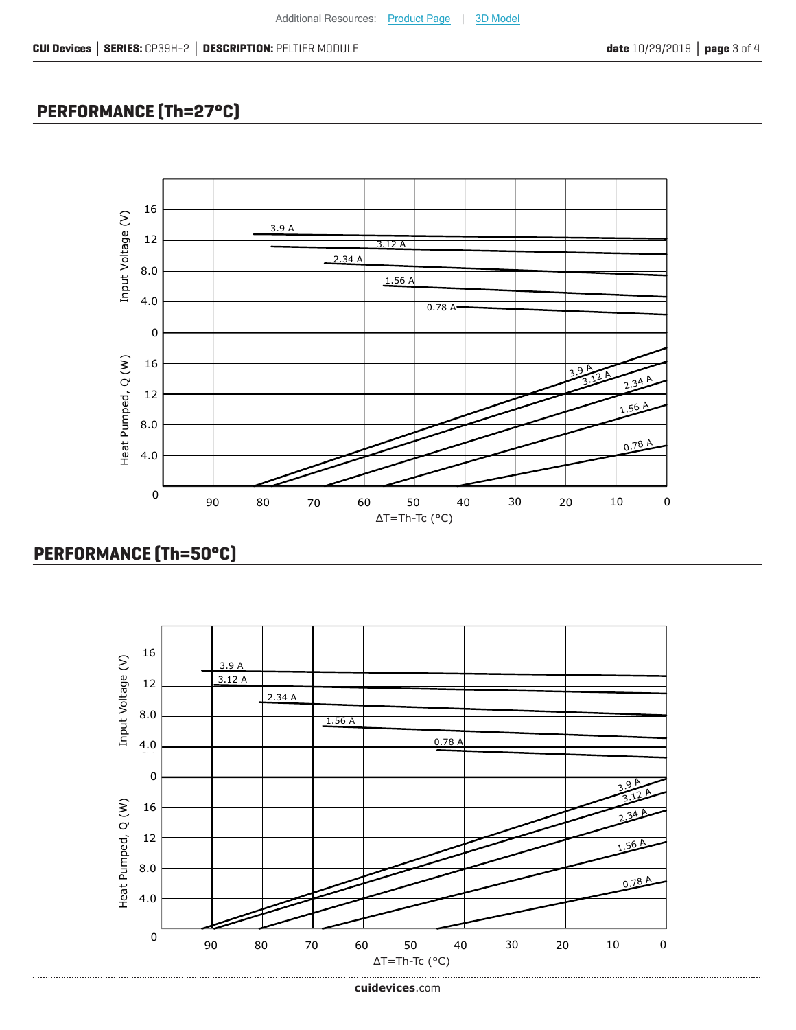## **PERFORMANCE (Th=27°C)**



## **PERFORMANCE (Th=50°C)**